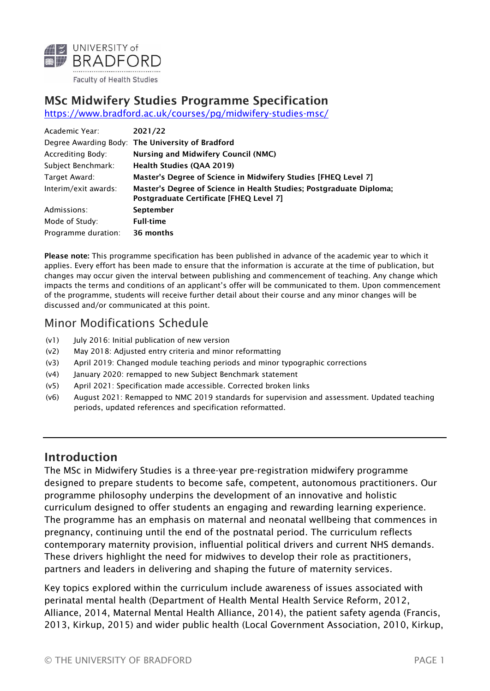

# MSc Midwifery Studies Programme Specification

<https://www.bradford.ac.uk/courses/pg/midwifery-studies-msc/>

| Academic Year:       | 2021/22                                                                                                        |
|----------------------|----------------------------------------------------------------------------------------------------------------|
|                      | Degree Awarding Body: The University of Bradford                                                               |
| Accrediting Body:    | Nursing and Midwifery Council (NMC)                                                                            |
| Subject Benchmark:   | Health Studies (QAA 2019)                                                                                      |
| Target Award:        | Master's Degree of Science in Midwifery Studies [FHEQ Level 7]                                                 |
| Interim/exit awards: | Master's Degree of Science in Health Studies; Postgraduate Diploma;<br>Postgraduate Certificate [FHEQ Level 7] |
| Admissions:          | September                                                                                                      |
| Mode of Study:       | <b>Full-time</b>                                                                                               |
| Programme duration:  | 36 months                                                                                                      |

Please note: This programme specification has been published in advance of the academic year to which it applies. Every effort has been made to ensure that the information is accurate at the time of publication, but changes may occur given the interval between publishing and commencement of teaching. Any change which impacts the terms and conditions of an applicant's offer will be communicated to them. Upon commencement of the programme, students will receive further detail about their course and any minor changes will be discussed and/or communicated at this point.

## Minor Modifications Schedule

- (v1) July 2016: Initial publication of new version
- (v2) May 2018: Adjusted entry criteria and minor reformatting
- (v3) April 2019: Changed module teaching periods and minor typographic corrections
- (v4) January 2020: remapped to new Subject Benchmark statement
- (v5) April 2021: Specification made accessible. Corrected broken links
- (v6) August 2021: Remapped to NMC 2019 standards for supervision and assessment. Updated teaching periods, updated references and specification reformatted.

### Introduction

The MSc in Midwifery Studies is a three-year pre-registration midwifery programme designed to prepare students to become safe, competent, autonomous practitioners. Our programme philosophy underpins the development of an innovative and holistic curriculum designed to offer students an engaging and rewarding learning experience. The programme has an emphasis on maternal and neonatal wellbeing that commences in pregnancy, continuing until the end of the postnatal period. The curriculum reflects contemporary maternity provision, influential political drivers and current NHS demands. These drivers highlight the need for midwives to develop their role as practitioners, partners and leaders in delivering and shaping the future of maternity services.

Key topics explored within the curriculum include awareness of issues associated with perinatal mental health (Department of Health Mental Health Service Reform, 2012, Alliance, 2014, Maternal Mental Health Alliance, 2014), the patient safety agenda (Francis, 2013, Kirkup, 2015) and wider public health (Local Government Association, 2010, Kirkup,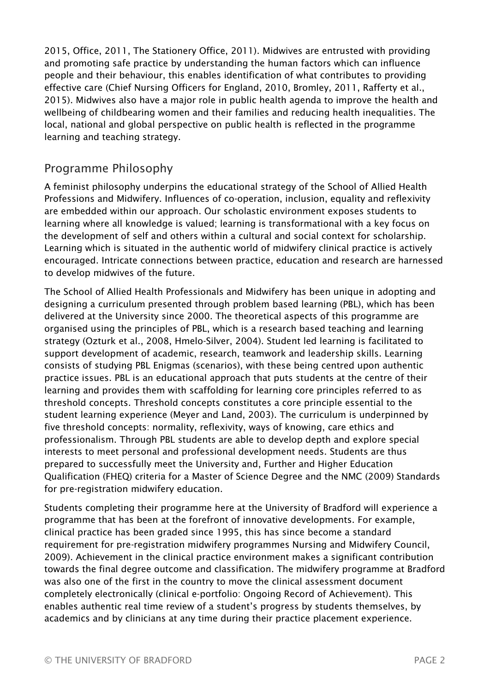2015, Office, 2011, The Stationery Office, 2011). Midwives are entrusted with providing and promoting safe practice by understanding the human factors which can influence people and their behaviour, this enables identification of what contributes to providing effective care (Chief Nursing Officers for England, 2010, Bromley, 2011, Rafferty et al., 2015). Midwives also have a major role in public health agenda to improve the health and wellbeing of childbearing women and their families and reducing health inequalities. The local, national and global perspective on public health is reflected in the programme learning and teaching strategy.

# Programme Philosophy

A feminist philosophy underpins the educational strategy of the School of Allied Health Professions and Midwifery. Influences of co-operation, inclusion, equality and reflexivity are embedded within our approach. Our scholastic environment exposes students to learning where all knowledge is valued; learning is transformational with a key focus on the development of self and others within a cultural and social context for scholarship. Learning which is situated in the authentic world of midwifery clinical practice is actively encouraged. Intricate connections between practice, education and research are harnessed to develop midwives of the future.

The School of Allied Health Professionals and Midwifery has been unique in adopting and designing a curriculum presented through problem based learning (PBL), which has been delivered at the University since 2000. The theoretical aspects of this programme are organised using the principles of PBL, which is a research based teaching and learning strategy (Ozturk et al., 2008, Hmelo-Silver, 2004). Student led learning is facilitated to support development of academic, research, teamwork and leadership skills. Learning consists of studying PBL Enigmas (scenarios), with these being centred upon authentic practice issues. PBL is an educational approach that puts students at the centre of their learning and provides them with scaffolding for learning core principles referred to as threshold concepts. Threshold concepts constitutes a core principle essential to the student learning experience (Meyer and Land, 2003). The curriculum is underpinned by five threshold concepts: normality, reflexivity, ways of knowing, care ethics and professionalism. Through PBL students are able to develop depth and explore special interests to meet personal and professional development needs. Students are thus prepared to successfully meet the University and, Further and Higher Education Qualification (FHEQ) criteria for a Master of Science Degree and the NMC (2009) Standards for pre-registration midwifery education.

Students completing their programme here at the University of Bradford will experience a programme that has been at the forefront of innovative developments. For example, clinical practice has been graded since 1995, this has since become a standard requirement for pre-registration midwifery programmes Nursing and Midwifery Council, 2009). Achievement in the clinical practice environment makes a significant contribution towards the final degree outcome and classification. The midwifery programme at Bradford was also one of the first in the country to move the clinical assessment document completely electronically (clinical e-portfolio: Ongoing Record of Achievement). This enables authentic real time review of a student's progress by students themselves, by academics and by clinicians at any time during their practice placement experience.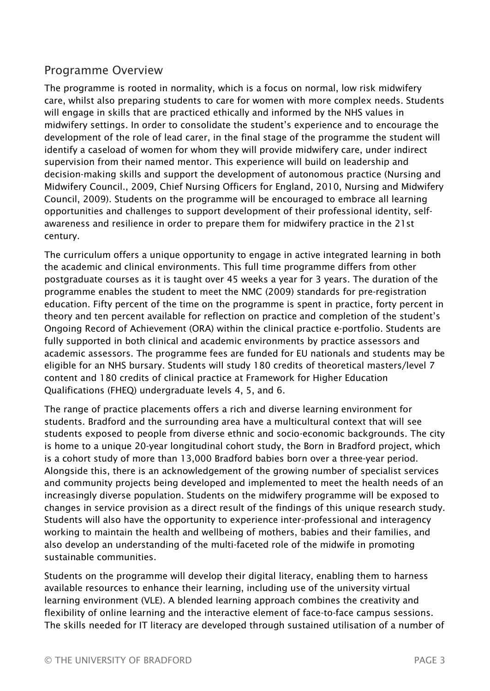# Programme Overview

The programme is rooted in normality, which is a focus on normal, low risk midwifery care, whilst also preparing students to care for women with more complex needs. Students will engage in skills that are practiced ethically and informed by the NHS values in midwifery settings. In order to consolidate the student's experience and to encourage the development of the role of lead carer, in the final stage of the programme the student will identify a caseload of women for whom they will provide midwifery care, under indirect supervision from their named mentor. This experience will build on leadership and decision-making skills and support the development of autonomous practice (Nursing and Midwifery Council., 2009, Chief Nursing Officers for England, 2010, Nursing and Midwifery Council, 2009). Students on the programme will be encouraged to embrace all learning opportunities and challenges to support development of their professional identity, selfawareness and resilience in order to prepare them for midwifery practice in the 21st century.

The curriculum offers a unique opportunity to engage in active integrated learning in both the academic and clinical environments. This full time programme differs from other postgraduate courses as it is taught over 45 weeks a year for 3 years. The duration of the programme enables the student to meet the NMC (2009) standards for pre-registration education. Fifty percent of the time on the programme is spent in practice, forty percent in theory and ten percent available for reflection on practice and completion of the student's Ongoing Record of Achievement (ORA) within the clinical practice e-portfolio. Students are fully supported in both clinical and academic environments by practice assessors and academic assessors. The programme fees are funded for EU nationals and students may be eligible for an NHS bursary. Students will study 180 credits of theoretical masters/level 7 content and 180 credits of clinical practice at Framework for Higher Education Qualifications (FHEQ) undergraduate levels 4, 5, and 6.

The range of practice placements offers a rich and diverse learning environment for students. Bradford and the surrounding area have a multicultural context that will see students exposed to people from diverse ethnic and socio-economic backgrounds. The city is home to a unique 20-year longitudinal cohort study, the Born in Bradford project, which is a cohort study of more than 13,000 Bradford babies born over a three-year period. Alongside this, there is an acknowledgement of the growing number of specialist services and community projects being developed and implemented to meet the health needs of an increasingly diverse population. Students on the midwifery programme will be exposed to changes in service provision as a direct result of the findings of this unique research study. Students will also have the opportunity to experience inter-professional and interagency working to maintain the health and wellbeing of mothers, babies and their families, and also develop an understanding of the multi-faceted role of the midwife in promoting sustainable communities.

Students on the programme will develop their digital literacy, enabling them to harness available resources to enhance their learning, including use of the university virtual learning environment (VLE). A blended learning approach combines the creativity and flexibility of online learning and the interactive element of face-to-face campus sessions. The skills needed for IT literacy are developed through sustained utilisation of a number of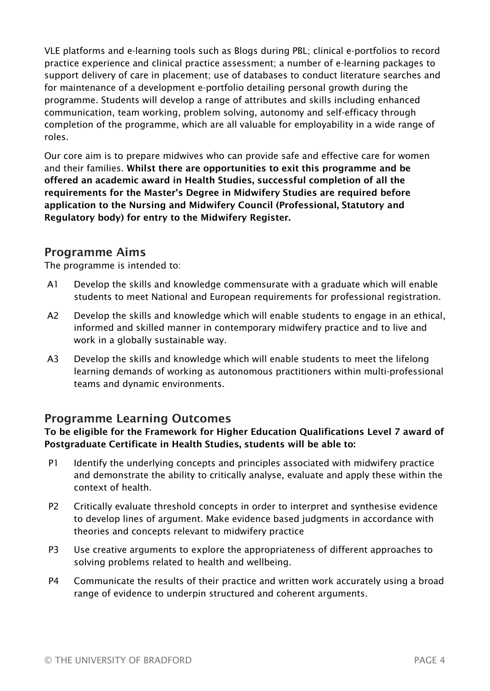VLE platforms and e-learning tools such as Blogs during PBL; clinical e-portfolios to record practice experience and clinical practice assessment; a number of e-learning packages to support delivery of care in placement; use of databases to conduct literature searches and for maintenance of a development e-portfolio detailing personal growth during the programme. Students will develop a range of attributes and skills including enhanced communication, team working, problem solving, autonomy and self-efficacy through completion of the programme, which are all valuable for employability in a wide range of roles.

Our core aim is to prepare midwives who can provide safe and effective care for women and their families. Whilst there are opportunities to exit this programme and be offered an academic award in Health Studies, successful completion of all the requirements for the Master's Degree in Midwifery Studies are required before application to the Nursing and Midwifery Council (Professional, Statutory and Regulatory body) for entry to the Midwifery Register.

### Programme Aims

The programme is intended to:

- A1 Develop the skills and knowledge commensurate with a graduate which will enable students to meet National and European requirements for professional registration.
- A2 Develop the skills and knowledge which will enable students to engage in an ethical, informed and skilled manner in contemporary midwifery practice and to live and work in a globally sustainable way.
- A3 Develop the skills and knowledge which will enable students to meet the lifelong learning demands of working as autonomous practitioners within multi-professional teams and dynamic environments.

### Programme Learning Outcomes

To be eligible for the Framework for Higher Education Qualifications Level 7 award of Postgraduate Certificate in Health Studies, students will be able to:

- P1 Identify the underlying concepts and principles associated with midwifery practice and demonstrate the ability to critically analyse, evaluate and apply these within the context of health.
- P2 Critically evaluate threshold concepts in order to interpret and synthesise evidence to develop lines of argument. Make evidence based judgments in accordance with theories and concepts relevant to midwifery practice
- P3 Use creative arguments to explore the appropriateness of different approaches to solving problems related to health and wellbeing.
- P4 Communicate the results of their practice and written work accurately using a broad range of evidence to underpin structured and coherent arguments.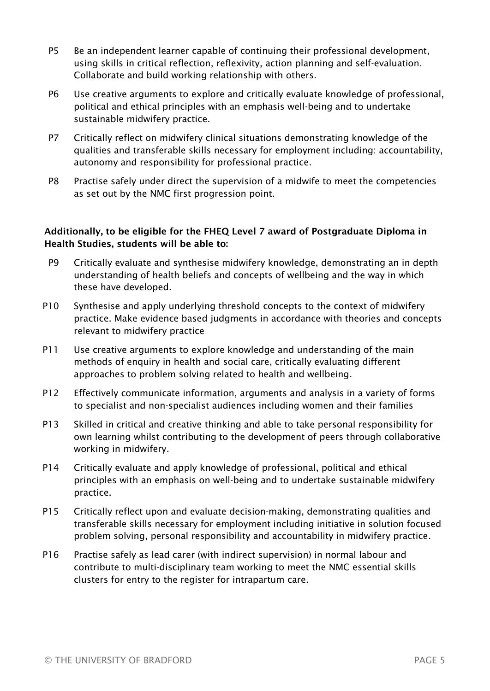- P5 Be an independent learner capable of continuing their professional development, using skills in critical reflection, reflexivity, action planning and self-evaluation. Collaborate and build working relationship with others.
- P6 Use creative arguments to explore and critically evaluate knowledge of professional, political and ethical principles with an emphasis well-being and to undertake sustainable midwifery practice.
- P7 Critically reflect on midwifery clinical situations demonstrating knowledge of the qualities and transferable skills necessary for employment including: accountability, autonomy and responsibility for professional practice.
- P8 Practise safely under direct the supervision of a midwife to meet the competencies as set out by the NMC first progression point.

### Additionally, to be eligible for the FHEQ Level 7 award of Postgraduate Diploma in Health Studies, students will be able to:

- P9 Critically evaluate and synthesise midwifery knowledge, demonstrating an in depth understanding of health beliefs and concepts of wellbeing and the way in which these have developed.
- P10 Synthesise and apply underlying threshold concepts to the context of midwifery practice. Make evidence based judgments in accordance with theories and concepts relevant to midwifery practice
- P11 Use creative arguments to explore knowledge and understanding of the main methods of enquiry in health and social care, critically evaluating different approaches to problem solving related to health and wellbeing.
- P12 Effectively communicate information, arguments and analysis in a variety of forms to specialist and non-specialist audiences including women and their families
- P13 Skilled in critical and creative thinking and able to take personal responsibility for own learning whilst contributing to the development of peers through collaborative working in midwifery.
- P14 Critically evaluate and apply knowledge of professional, political and ethical principles with an emphasis on well-being and to undertake sustainable midwifery practice.
- P15 Critically reflect upon and evaluate decision-making, demonstrating qualities and transferable skills necessary for employment including initiative in solution focused problem solving, personal responsibility and accountability in midwifery practice.
- P16 Practise safely as lead carer (with indirect supervision) in normal labour and contribute to multi-disciplinary team working to meet the NMC essential skills clusters for entry to the register for intrapartum care.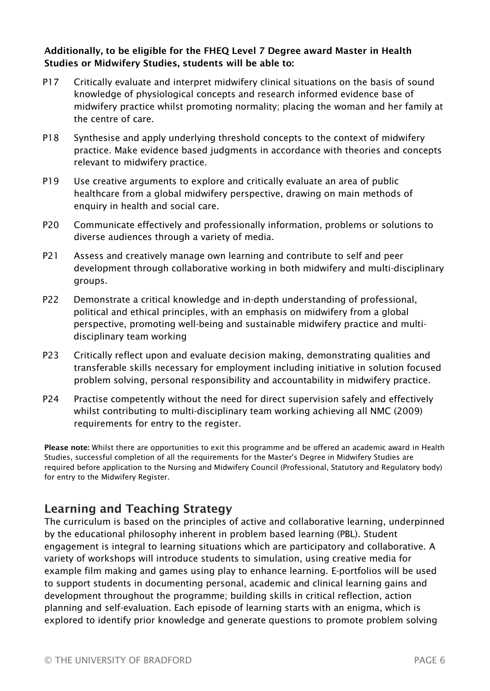### Additionally, to be eligible for the FHEQ Level 7 Degree award Master in Health Studies or Midwifery Studies, students will be able to:

- P17 Critically evaluate and interpret midwifery clinical situations on the basis of sound knowledge of physiological concepts and research informed evidence base of midwifery practice whilst promoting normality; placing the woman and her family at the centre of care.
- P18 Synthesise and apply underlying threshold concepts to the context of midwifery practice. Make evidence based judgments in accordance with theories and concepts relevant to midwifery practice.
- P19 Use creative arguments to explore and critically evaluate an area of public healthcare from a global midwifery perspective, drawing on main methods of enquiry in health and social care.
- P20 Communicate effectively and professionally information, problems or solutions to diverse audiences through a variety of media.
- P21 Assess and creatively manage own learning and contribute to self and peer development through collaborative working in both midwifery and multi-disciplinary groups.
- P22 Demonstrate a critical knowledge and in-depth understanding of professional, political and ethical principles, with an emphasis on midwifery from a global perspective, promoting well-being and sustainable midwifery practice and multidisciplinary team working
- P23 Critically reflect upon and evaluate decision making, demonstrating qualities and transferable skills necessary for employment including initiative in solution focused problem solving, personal responsibility and accountability in midwifery practice.
- P24 Practise competently without the need for direct supervision safely and effectively whilst contributing to multi-disciplinary team working achieving all NMC (2009) requirements for entry to the register.

Please note: Whilst there are opportunities to exit this programme and be offered an academic award in Health Studies, successful completion of all the requirements for the Master's Degree in Midwifery Studies are required before application to the Nursing and Midwifery Council (Professional, Statutory and Regulatory body) for entry to the Midwifery Register.

# Learning and Teaching Strategy

The curriculum is based on the principles of active and collaborative learning, underpinned by the educational philosophy inherent in problem based learning (PBL). Student engagement is integral to learning situations which are participatory and collaborative. A variety of workshops will introduce students to simulation, using creative media for example film making and games using play to enhance learning. E-portfolios will be used to support students in documenting personal, academic and clinical learning gains and development throughout the programme; building skills in critical reflection, action planning and self-evaluation. Each episode of learning starts with an enigma, which is explored to identify prior knowledge and generate questions to promote problem solving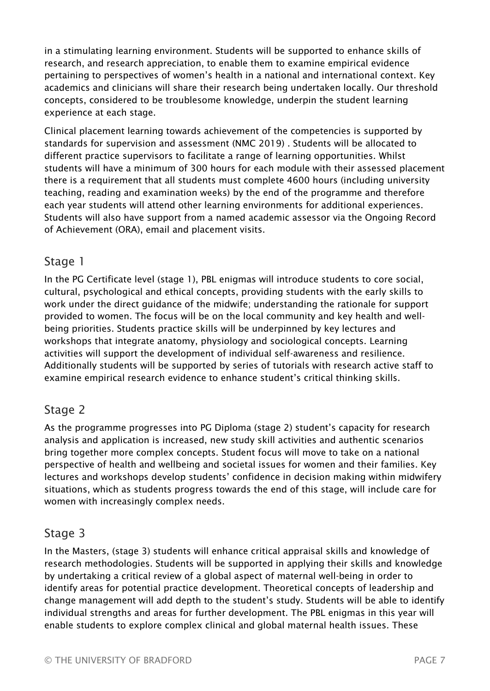in a stimulating learning environment. Students will be supported to enhance skills of research, and research appreciation, to enable them to examine empirical evidence pertaining to perspectives of women's health in a national and international context. Key academics and clinicians will share their research being undertaken locally. Our threshold concepts, considered to be troublesome knowledge, underpin the student learning experience at each stage.

Clinical placement learning towards achievement of the competencies is supported by standards for supervision and assessment (NMC 2019) . Students will be allocated to different practice supervisors to facilitate a range of learning opportunities. Whilst students will have a minimum of 300 hours for each module with their assessed placement there is a requirement that all students must complete 4600 hours (including university teaching, reading and examination weeks) by the end of the programme and therefore each year students will attend other learning environments for additional experiences. Students will also have support from a named academic assessor via the Ongoing Record of Achievement (ORA), email and placement visits.

### Stage 1

In the PG Certificate level (stage 1), PBL enigmas will introduce students to core social, cultural, psychological and ethical concepts, providing students with the early skills to work under the direct guidance of the midwife; understanding the rationale for support provided to women. The focus will be on the local community and key health and wellbeing priorities. Students practice skills will be underpinned by key lectures and workshops that integrate anatomy, physiology and sociological concepts. Learning activities will support the development of individual self-awareness and resilience. Additionally students will be supported by series of tutorials with research active staff to examine empirical research evidence to enhance student's critical thinking skills.

### Stage 2

As the programme progresses into PG Diploma (stage 2) student's capacity for research analysis and application is increased, new study skill activities and authentic scenarios bring together more complex concepts. Student focus will move to take on a national perspective of health and wellbeing and societal issues for women and their families. Key lectures and workshops develop students' confidence in decision making within midwifery situations, which as students progress towards the end of this stage, will include care for women with increasingly complex needs.

### Stage 3

In the Masters, (stage 3) students will enhance critical appraisal skills and knowledge of research methodologies. Students will be supported in applying their skills and knowledge by undertaking a critical review of a global aspect of maternal well-being in order to identify areas for potential practice development. Theoretical concepts of leadership and change management will add depth to the student's study. Students will be able to identify individual strengths and areas for further development. The PBL enigmas in this year will enable students to explore complex clinical and global maternal health issues. These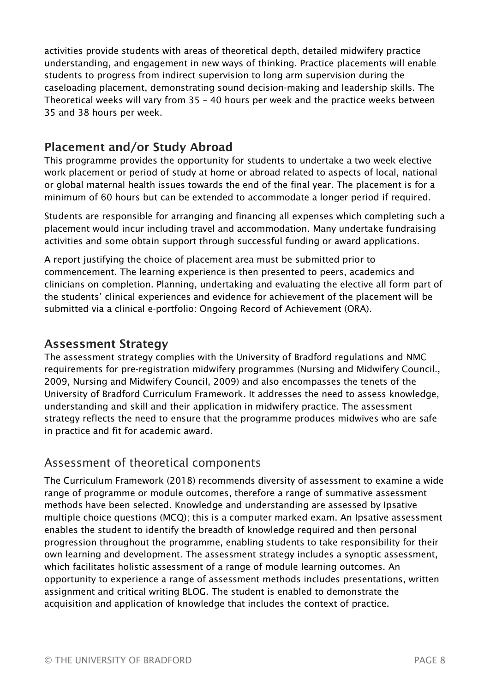activities provide students with areas of theoretical depth, detailed midwifery practice understanding, and engagement in new ways of thinking. Practice placements will enable students to progress from indirect supervision to long arm supervision during the caseloading placement, demonstrating sound decision-making and leadership skills. The Theoretical weeks will vary from 35 – 40 hours per week and the practice weeks between 35 and 38 hours per week.

# Placement and/or Study Abroad

This programme provides the opportunity for students to undertake a two week elective work placement or period of study at home or abroad related to aspects of local, national or global maternal health issues towards the end of the final year. The placement is for a minimum of 60 hours but can be extended to accommodate a longer period if required.

Students are responsible for arranging and financing all expenses which completing such a placement would incur including travel and accommodation. Many undertake fundraising activities and some obtain support through successful funding or award applications.

A report justifying the choice of placement area must be submitted prior to commencement. The learning experience is then presented to peers, academics and clinicians on completion. Planning, undertaking and evaluating the elective all form part of the students' clinical experiences and evidence for achievement of the placement will be submitted via a clinical e-portfolio: Ongoing Record of Achievement (ORA).

### Assessment Strategy

The assessment strategy complies with the University of Bradford regulations and NMC requirements for pre-registration midwifery programmes (Nursing and Midwifery Council., 2009, Nursing and Midwifery Council, 2009) and also encompasses the tenets of the [University of Bradford Curriculum Framework.](http://www.bradford.ac.uk/educational-development/programme-design-and-development/curriculum-framework/) It addresses the need to assess knowledge, understanding and skill and their application in midwifery practice. The assessment strategy reflects the need to ensure that the programme produces midwives who are safe in practice and fit for academic award.

# Assessment of theoretical components

The Curriculum Framework (2018) recommends diversity of assessment to examine a wide range of programme or module outcomes, therefore a range of summative assessment methods have been selected. Knowledge and understanding are assessed by Ipsative multiple choice questions (MCQ); this is a computer marked exam. An Ipsative assessment enables the student to identify the breadth of knowledge required and then personal progression throughout the programme, enabling students to take responsibility for their own learning and development. The assessment strategy includes a synoptic assessment, which facilitates holistic assessment of a range of module learning outcomes. An opportunity to experience a range of assessment methods includes presentations, written assignment and critical writing BLOG. The student is enabled to demonstrate the acquisition and application of knowledge that includes the context of practice.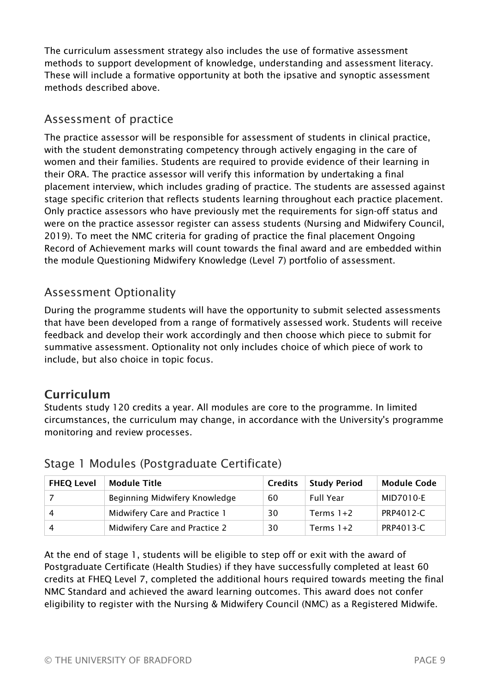The curriculum assessment strategy also includes the use of formative assessment methods to support development of knowledge, understanding and assessment literacy. These will include a formative opportunity at both the ipsative and synoptic assessment methods described above.

# Assessment of practice

The practice assessor will be responsible for assessment of students in clinical practice, with the student demonstrating competency through actively engaging in the care of women and their families. Students are required to provide evidence of their learning in their ORA. The practice assessor will verify this information by undertaking a final placement interview, which includes grading of practice. The students are assessed against stage specific criterion that reflects students learning throughout each practice placement. Only practice assessors who have previously met the requirements for sign-off status and were on the practice assessor register can assess students (Nursing and Midwifery Council, 2019). To meet the NMC criteria for grading of practice the final placement Ongoing Record of Achievement marks will count towards the final award and are embedded within the module Questioning Midwifery Knowledge (Level 7) portfolio of assessment.

## Assessment Optionality

During the programme students will have the opportunity to submit selected assessments that have been developed from a range of formatively assessed work. Students will receive feedback and develop their work accordingly and then choose which piece to submit for summative assessment. Optionality not only includes choice of which piece of work to include, but also choice in topic focus.

### Curriculum

Students study 120 credits a year. All modules are core to the programme. In limited circumstances, the curriculum may change, in accordance with the University's programme monitoring and review processes.

| <b>FHEQ Level</b> | Module Title                  | Credits | <b>Study Period</b> | <b>Module Code</b> |
|-------------------|-------------------------------|---------|---------------------|--------------------|
|                   | Beginning Midwifery Knowledge | 60      | <b>Full Year</b>    | <b>MID7010-E</b>   |
| 4                 | Midwifery Care and Practice 1 | 30      | Terms $1+2$         | PRP4012-C          |
|                   | Midwifery Care and Practice 2 | 30      | Terms $1+2$         | PRP4013-C          |

### Stage 1 Modules (Postgraduate Certificate)

At the end of stage 1, students will be eligible to step off or exit with the award of Postgraduate Certificate (Health Studies) if they have successfully completed at least 60 credits at FHEQ Level 7, completed the additional hours required towards meeting the final NMC Standard and achieved the award learning outcomes. This award does not confer eligibility to register with the Nursing & Midwifery Council (NMC) as a Registered Midwife.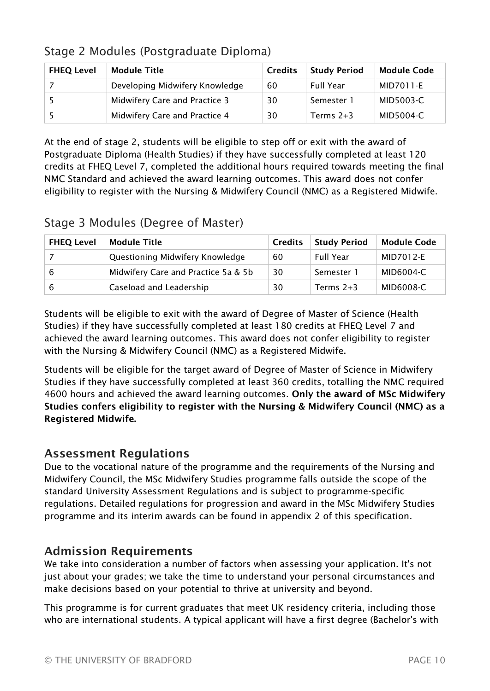| <b>FHEQ Level</b> | <b>Module Title</b>            | <b>Credits</b> | <b>Study Period</b> | <b>Module Code</b> |
|-------------------|--------------------------------|----------------|---------------------|--------------------|
|                   | Developing Midwifery Knowledge | 60             | <b>Full Year</b>    | MID7011-E          |
|                   | Midwifery Care and Practice 3  | 30             | Semester 1          | MID5003-C          |
|                   | Midwifery Care and Practice 4  | 30             | Terms $2+3$         | MID5004-C          |

Stage 2 Modules (Postgraduate Diploma)

At the end of stage 2, students will be eligible to step off or exit with the award of Postgraduate Diploma (Health Studies) if they have successfully completed at least 120 credits at FHEQ Level 7, completed the additional hours required towards meeting the final NMC Standard and achieved the award learning outcomes. This award does not confer eligibility to register with the Nursing & Midwifery Council (NMC) as a Registered Midwife.

# Stage 3 Modules (Degree of Master)

| <b>FHEQ Level</b> | <b>Module Title</b>                 | <b>Credits</b> | <b>Study Period</b> | <b>Module Code</b> |
|-------------------|-------------------------------------|----------------|---------------------|--------------------|
|                   | Questioning Midwifery Knowledge     | 60             | <b>Full Year</b>    | MID7012-E          |
|                   | Midwifery Care and Practice 5a & 5b | 30             | Semester 1          | MID6004-C          |
|                   | Caseload and Leadership             | 30             | Terms $2+3$         | MID6008-C          |

Students will be eligible to exit with the award of Degree of Master of Science (Health Studies) if they have successfully completed at least 180 credits at FHEQ Level 7 and achieved the award learning outcomes. This award does not confer eligibility to register with the Nursing & Midwifery Council (NMC) as a Registered Midwife.

Students will be eligible for the target award of Degree of Master of Science in Midwifery Studies if they have successfully completed at least 360 credits, totalling the NMC required 4600 hours and achieved the award learning outcomes. Only the award of MSc Midwifery Studies confers eligibility to register with the Nursing & Midwifery Council (NMC) as a Registered Midwife.

# Assessment Regulations

Due to the vocational nature of the programme and the requirements of the Nursing and Midwifery Council, the MSc Midwifery Studies programme falls outside the scope of the standard University Assessment Regulations and is subject to programme-specific regulations. Detailed regulations for progression and award in the MSc Midwifery Studies programme and its interim awards can be found in appendix 2 of this specification.

# Admission Requirements

We take into consideration a number of factors when assessing your application. It's not just about your grades; we take the time to understand your personal circumstances and make decisions based on your potential to thrive at university and beyond.

This programme is for current graduates that meet UK residency criteria, including those who are international students. A typical applicant will have a first degree (Bachelor's with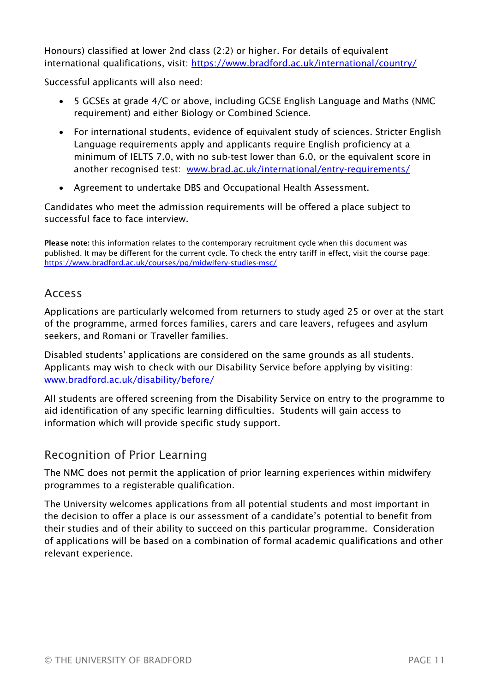Honours) classified at lower 2nd class (2:2) or higher. For details of equivalent international qualifications, visit:<https://www.bradford.ac.uk/international/country/>

Successful applicants will also need:

- 5 GCSEs at grade 4/C or above, including GCSE English Language and Maths (NMC requirement) and either Biology or Combined Science.
- For international students, evidence of equivalent study of sciences. Stricter English Language requirements apply and applicants require English proficiency at a minimum of IELTS 7.0, with no sub-test lower than 6.0, or the equivalent score in another recognised test: [www.brad.ac.uk/international/entry-requirements/](https://www.brad.ac.uk/international/entry-requirements/)
- Agreement to undertake DBS and Occupational Health Assessment.

Candidates who meet the admission requirements will be offered a place subject to successful face to face interview.

Please note: this information relates to the contemporary recruitment cycle when this document was published. It may be different for the current cycle. To check the entry tariff in effect, visit the course page: <https://www.bradford.ac.uk/courses/pg/midwifery-studies-msc/>

### Access

Applications are particularly welcomed from returners to study aged 25 or over at the start of the programme, armed forces families, carers and care leavers, refugees and asylum seekers, and Romani or Traveller families.

Disabled students' applications are considered on the same grounds as all students. Applicants may wish to check with our Disability Service before applying by visiting: [www.bradford.ac.uk/disability/before/](http://www.bradford.ac.uk/disability/before/)

All students are offered screening from the Disability Service on entry to the programme to aid identification of any specific learning difficulties. Students will gain access to information which will provide specific study support.

### Recognition of Prior Learning

The NMC does not permit the application of prior learning experiences within midwifery programmes to a registerable qualification.

The University welcomes applications from all potential students and most important in the decision to offer a place is our assessment of a candidate's potential to benefit from their studies and of their ability to succeed on this particular programme. Consideration of applications will be based on a combination of formal academic qualifications and other relevant experience.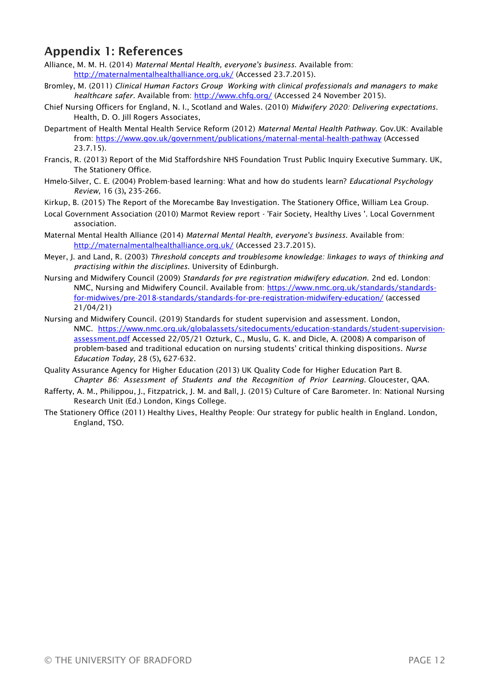## Appendix 1: References

- Alliance, M. M. H. (2014) *Maternal Mental Health, everyone's business.* Available from: <http://maternalmentalhealthalliance.org.uk/> (Accessed 23.7.2015).
- Bromley, M. (2011) *Clinical Human Factors Group Working with clinical professionals and managers to make healthcare safer.* Available from:<http://www.chfg.org/> (Accessed 24 November 2015).
- Chief Nursing Officers for England, N. I., Scotland and Wales. (2010) *Midwifery 2020: Delivering expectations.*  Health, D. O. Jill Rogers Associates,
- Department of Health Mental Health Service Reform (2012) *Maternal Mental Health Pathway.* Gov.UK: Available from:<https://www.gov.uk/government/publications/maternal-mental-health-pathway> (Accessed 23.7.15).
- Francis, R. (2013) Report of the Mid Staffordshire NHS Foundation Trust Public Inquiry Executive Summary. UK, The Stationery Office.
- Hmelo-Silver, C. E. (2004) Problem-based learning: What and how do students learn? *Educational Psychology Review,* 16 (3), 235-266.
- Kirkup, B. (2015) The Report of the Morecambe Bay Investigation. The Stationery Office, William Lea Group.
- Local Government Association (2010) Marmot Review report 'Fair Society, Healthy Lives '. Local Government association.
- Maternal Mental Health Alliance (2014) *Maternal Mental Health, everyone's business.* Available from: <http://maternalmentalhealthalliance.org.uk/> (Accessed 23.7.2015).
- Meyer, J. and Land, R. (2003) *Threshold concepts and troublesome knowledge: linkages to ways of thinking and practising within the disciplines.* University of Edinburgh.
- Nursing and Midwifery Council (2009) *Standards for pre registration midwifery education.* 2nd ed. London: NMC, Nursing and Midwifery Council. Available from: https://www.nmc.org.uk/standards/standardsfor-midwives/pre-2018-standards/standards-for-pre-registration-midwifery-education/ (accessed 21/04/21)
- Nursing and Midwifery Council. (2019) Standards for student supervision and assessment. London, NMC. [https://www.nmc.org.uk/globalassets/sitedocuments/education-standards/student-supervision](https://www.nmc.org.uk/globalassets/sitedocuments/education-standards/student-supervision-assessment.pdf)[assessment.pdf](https://www.nmc.org.uk/globalassets/sitedocuments/education-standards/student-supervision-assessment.pdf) Accessed 22/05/21 Ozturk, C., Muslu, G. K. and Dicle, A. (2008) A comparison of problem-based and traditional education on nursing students' critical thinking dispositions. *Nurse Education Today,* 28 (5), 627-632.
- Quality Assurance Agency for Higher Education (2013) UK Quality Code for Higher Education Part B. *Chapter B6: Assessment of Students and the Recognition of Prior Learning.* Gloucester, QAA.
- Rafferty, A. M., Philippou, J., Fitzpatrick, J. M. and Ball, J. (2015) Culture of Care Barometer. In: National Nursing Research Unit (Ed.) London, Kings College.
- The Stationery Office (2011) Healthy Lives, Healthy People: Our strategy for public health in England. London, England, TSO.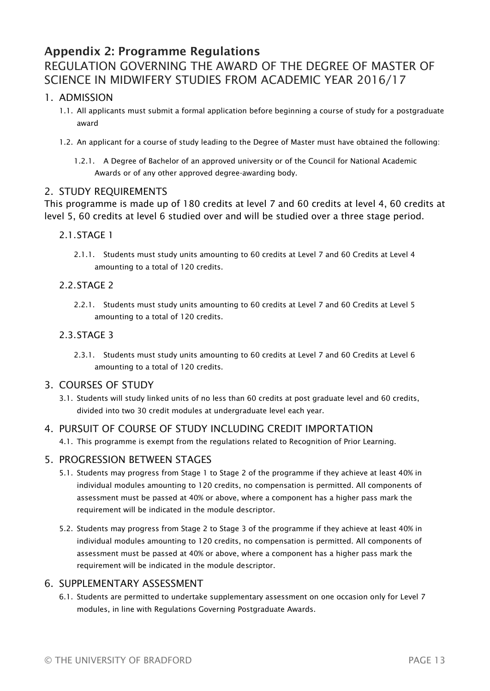# Appendix 2: Programme Regulations REGULATION GOVERNING THE AWARD OF THE DEGREE OF MASTER OF SCIENCE IN MIDWIFERY STUDIES FROM ACADEMIC YEAR 2016/17

### 1. ADMISSION

- 1.1. All applicants must submit a formal application before beginning a course of study for a postgraduate award
- 1.2. An applicant for a course of study leading to the Degree of Master must have obtained the following:
	- 1.2.1. A Degree of Bachelor of an approved university or of the Council for National Academic Awards or of any other approved degree-awarding body.

### 2. STUDY REQUIREMENTS

This programme is made up of 180 credits at level 7 and 60 credits at level 4, 60 credits at level 5, 60 credits at level 6 studied over and will be studied over a three stage period.

#### 2.1.STAGE 1

2.1.1. Students must study units amounting to 60 credits at Level 7 and 60 Credits at Level 4 amounting to a total of 120 credits.

#### 2.2.STAGE 2

2.2.1. Students must study units amounting to 60 credits at Level 7 and 60 Credits at Level 5 amounting to a total of 120 credits.

#### 2.3.STAGE 3

2.3.1. Students must study units amounting to 60 credits at Level 7 and 60 Credits at Level 6 amounting to a total of 120 credits.

#### 3. COURSES OF STUDY

3.1. Students will study linked units of no less than 60 credits at post graduate level and 60 credits, divided into two 30 credit modules at undergraduate level each year.

#### 4. PURSUIT OF COURSE OF STUDY INCLUDING CREDIT IMPORTATION

4.1. This programme is exempt from the regulations related to Recognition of Prior Learning.

#### 5. PROGRESSION BETWEEN STAGES

- 5.1. Students may progress from Stage 1 to Stage 2 of the programme if they achieve at least 40% in individual modules amounting to 120 credits, no compensation is permitted. All components of assessment must be passed at 40% or above, where a component has a higher pass mark the requirement will be indicated in the module descriptor.
- 5.2. Students may progress from Stage 2 to Stage 3 of the programme if they achieve at least 40% in individual modules amounting to 120 credits, no compensation is permitted. All components of assessment must be passed at 40% or above, where a component has a higher pass mark the requirement will be indicated in the module descriptor.

#### 6. SUPPLEMENTARY ASSESSMENT

6.1. Students are permitted to undertake supplementary assessment on one occasion only for Level 7 modules, in line with Regulations Governing Postgraduate Awards.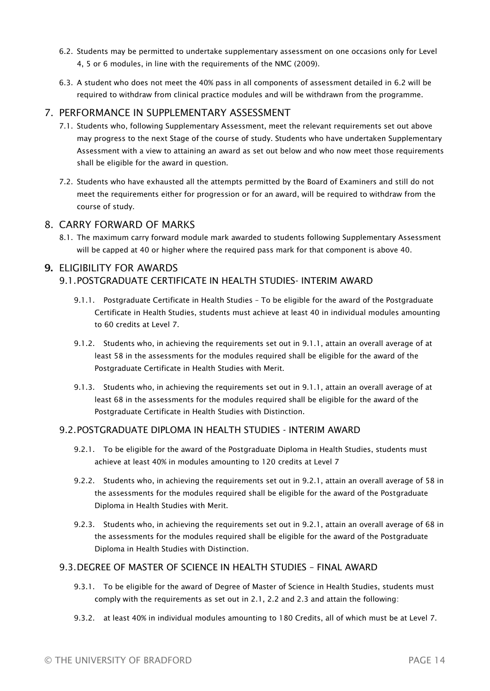- 6.2. Students may be permitted to undertake supplementary assessment on one occasions only for Level 4, 5 or 6 modules, in line with the requirements of the NMC (2009).
- 6.3. A student who does not meet the 40% pass in all components of assessment detailed in 6.2 will be required to withdraw from clinical practice modules and will be withdrawn from the programme.

### 7. PERFORMANCE IN SUPPLEMENTARY ASSESSMENT

- 7.1. Students who, following Supplementary Assessment, meet the relevant requirements set out above may progress to the next Stage of the course of study. Students who have undertaken Supplementary Assessment with a view to attaining an award as set out below and who now meet those requirements shall be eligible for the award in question.
- 7.2. Students who have exhausted all the attempts permitted by the Board of Examiners and still do not meet the requirements either for progression or for an award, will be required to withdraw from the course of study.

### 8. CARRY FORWARD OF MARKS

8.1. The maximum carry forward module mark awarded to students following Supplementary Assessment will be capped at 40 or higher where the required pass mark for that component is above 40.

#### 9. ELIGIBILITY FOR AWARDS 9.1.POSTGRADUATE CERTIFICATE IN HEALTH STUDIES- INTERIM AWARD

- 9.1.1. Postgraduate Certificate in Health Studies To be eligible for the award of the Postgraduate Certificate in Health Studies, students must achieve at least 40 in individual modules amounting to 60 credits at Level 7.
- 9.1.2. Students who, in achieving the requirements set out in 9.1.1, attain an overall average of at least 58 in the assessments for the modules required shall be eligible for the award of the Postgraduate Certificate in Health Studies with Merit.
- 9.1.3. Students who, in achieving the requirements set out in 9.1.1, attain an overall average of at least 68 in the assessments for the modules required shall be eligible for the award of the Postgraduate Certificate in Health Studies with Distinction.

#### 9.2.POSTGRADUATE DIPLOMA IN HEALTH STUDIES - INTERIM AWARD

- 9.2.1. To be eligible for the award of the Postgraduate Diploma in Health Studies, students must achieve at least 40% in modules amounting to 120 credits at Level 7
- 9.2.2. Students who, in achieving the requirements set out in 9.2.1, attain an overall average of 58 in the assessments for the modules required shall be eligible for the award of the Postgraduate Diploma in Health Studies with Merit.
- 9.2.3. Students who, in achieving the requirements set out in 9.2.1, attain an overall average of 68 in the assessments for the modules required shall be eligible for the award of the Postgraduate Diploma in Health Studies with Distinction.

### 9.3.DEGREE OF MASTER OF SCIENCE IN HEALTH STUDIES – FINAL AWARD

- 9.3.1. To be eligible for the award of Degree of Master of Science in Health Studies, students must comply with the requirements as set out in 2.1, 2.2 and 2.3 and attain the following:
- 9.3.2. at least 40% in individual modules amounting to 180 Credits, all of which must be at Level 7.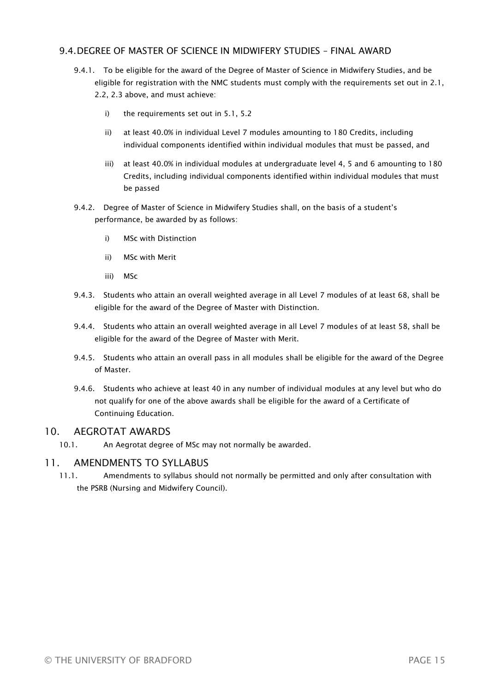#### 9.4.DEGREE OF MASTER OF SCIENCE IN MIDWIFERY STUDIES – FINAL AWARD

- 9.4.1. To be eligible for the award of the Degree of Master of Science in Midwifery Studies, and be eligible for registration with the NMC students must comply with the requirements set out in 2.1, 2.2, 2.3 above, and must achieve:
	- i) the requirements set out in 5.1, 5.2
	- ii) at least 40.0% in individual Level 7 modules amounting to 180 Credits, including individual components identified within individual modules that must be passed, and
	- iii) at least 40.0% in individual modules at undergraduate level 4, 5 and 6 amounting to 180 Credits, including individual components identified within individual modules that must be passed
- 9.4.2. Degree of Master of Science in Midwifery Studies shall, on the basis of a student's performance, be awarded by as follows:
	- i) MSc with Distinction
	- ii) MSc with Merit
	- iii) MSc
- 9.4.3. Students who attain an overall weighted average in all Level 7 modules of at least 68, shall be eligible for the award of the Degree of Master with Distinction.
- 9.4.4. Students who attain an overall weighted average in all Level 7 modules of at least 58, shall be eligible for the award of the Degree of Master with Merit.
- 9.4.5. Students who attain an overall pass in all modules shall be eligible for the award of the Degree of Master.
- 9.4.6. Students who achieve at least 40 in any number of individual modules at any level but who do not qualify for one of the above awards shall be eligible for the award of a Certificate of Continuing Education.

#### 10. AEGROTAT AWARDS

10.1. An Aegrotat degree of MSc may not normally be awarded.

#### 11. AMENDMENTS TO SYLLABUS

11.1. Amendments to syllabus should not normally be permitted and only after consultation with the PSRB (Nursing and Midwifery Council).